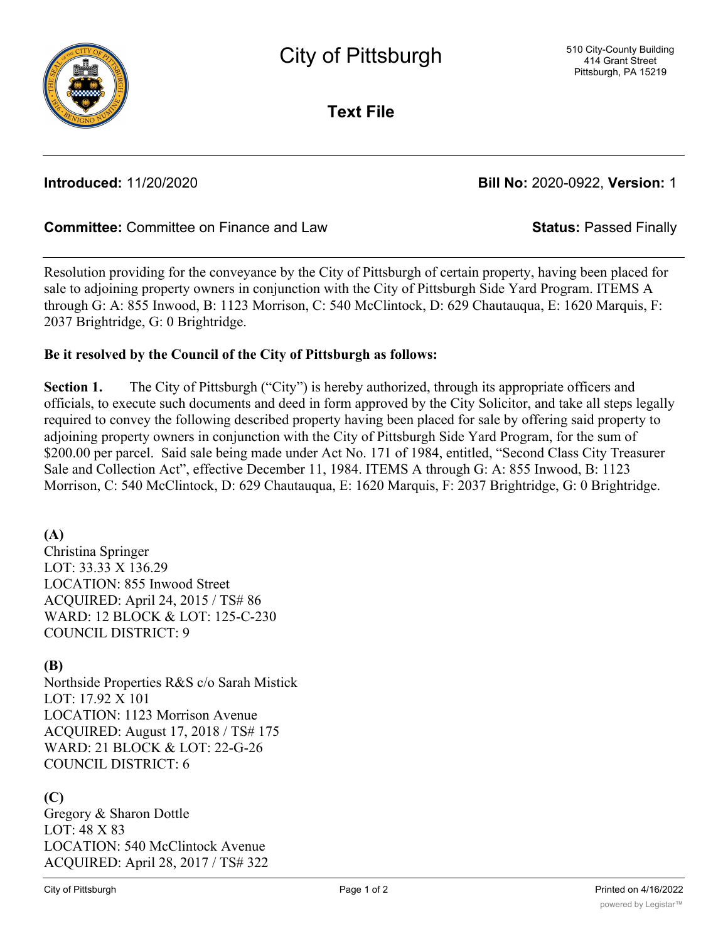

**Text File**

# **Introduced:** 11/20/2020 **Bill No:** 2020-0922, **Version:** 1

# **Committee:** Committee on Finance and Law **Status:** Passed Finally

Resolution providing for the conveyance by the City of Pittsburgh of certain property, having been placed for sale to adjoining property owners in conjunction with the City of Pittsburgh Side Yard Program. ITEMS A through G: A: 855 Inwood, B: 1123 Morrison, C: 540 McClintock, D: 629 Chautauqua, E: 1620 Marquis, F: 2037 Brightridge, G: 0 Brightridge.

### **Be it resolved by the Council of the City of Pittsburgh as follows:**

**Section 1.** The City of Pittsburgh ("City") is hereby authorized, through its appropriate officers and officials, to execute such documents and deed in form approved by the City Solicitor, and take all steps legally required to convey the following described property having been placed for sale by offering said property to adjoining property owners in conjunction with the City of Pittsburgh Side Yard Program, for the sum of \$200.00 per parcel. Said sale being made under Act No. 171 of 1984, entitled, "Second Class City Treasurer Sale and Collection Act", effective December 11, 1984. ITEMS A through G: A: 855 Inwood, B: 1123 Morrison, C: 540 McClintock, D: 629 Chautauqua, E: 1620 Marquis, F: 2037 Brightridge, G: 0 Brightridge.

### **(A)**

Christina Springer LOT: 33.33 X 136.29 LOCATION: 855 Inwood Street ACQUIRED: April 24, 2015 / TS# 86 WARD: 12 BLOCK & LOT: 125-C-230 COUNCIL DISTRICT: 9

### **(B)**

Northside Properties R&S c/o Sarah Mistick LOT: 17.92 X 101 LOCATION: 1123 Morrison Avenue ACQUIRED: August 17, 2018 / TS# 175 WARD: 21 BLOCK & LOT: 22-G-26 COUNCIL DISTRICT: 6

### **(C)**

Gregory & Sharon Dottle LOT: 48 X 83 LOCATION: 540 McClintock Avenue ACQUIRED: April 28, 2017 / TS# 322